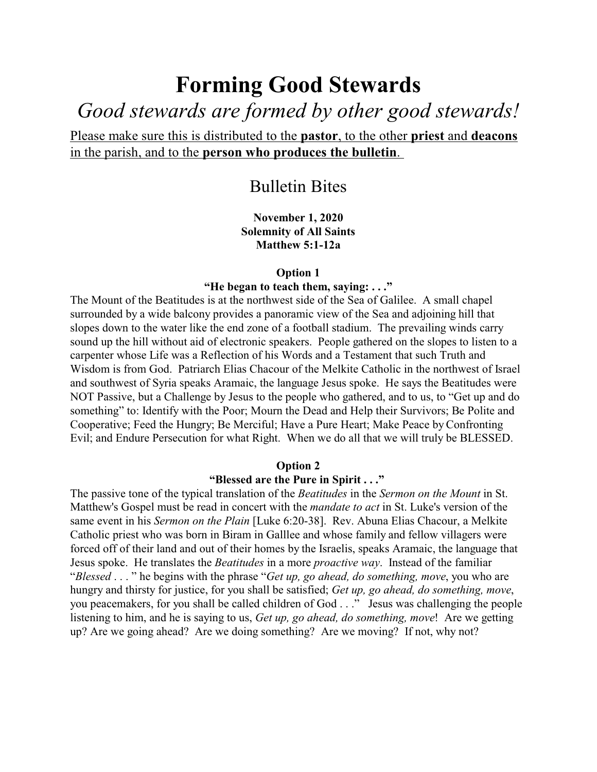# **Forming Good Stewards** *Good stewards are formed by other good stewards!*

Please make sure this is distributed to the **pastor**, to the other **priest** and **deacons** in the parish, and to the **person who produces the bulletin**.

# Bulletin Bites

**November 1, 2020 Solemnity of All Saints Matthew 5:1-12a**

## **Option 1**

#### **"He began to teach them, saying: . . ."**

The Mount of the Beatitudes is at the northwest side of the Sea of Galilee. A small chapel surrounded by a wide balcony provides a panoramic view of the Sea and adjoining hill that slopes down to the water like the end zone of a football stadium. The prevailing winds carry sound up the hill without aid of electronic speakers. People gathered on the slopes to listen to a carpenter whose Life was a Reflection of his Words and a Testament that such Truth and Wisdom is from God. Patriarch Elias Chacour of the Melkite Catholic in the northwest of Israel and southwest of Syria speaks Aramaic, the language Jesus spoke. He says the Beatitudes were NOT Passive, but a Challenge by Jesus to the people who gathered, and to us, to "Get up and do something" to: Identify with the Poor; Mourn the Dead and Help their Survivors; Be Polite and Cooperative; Feed the Hungry; Be Merciful; Have a Pure Heart; Make Peace by Confronting Evil; and Endure Persecution for what Right. When we do all that we will truly be BLESSED.

#### **Option 2**

#### **"Blessed are the Pure in Spirit . . ."**

The passive tone of the typical translation of the *Beatitudes* in the *Sermon on the Mount* in St. Matthew's Gospel must be read in concert with the *mandate to act* in St. Luke's version of the same event in his *Sermon on the Plain* [Luke 6:20-38]. Rev. Abuna Elias Chacour, a Melkite Catholic priest who was born in Biram in Galllee and whose family and fellow villagers were forced off of their land and out of their homes by the Israelis, speaks Aramaic, the language that Jesus spoke. He translates the *Beatitudes* in a more *proactive way*. Instead of the familiar "*Blessed* . . . " he begins with the phrase "*Get up, go ahead, do something, move*, you who are hungry and thirsty for justice, for you shall be satisfied; *Get up, go ahead, do something, move*, you peacemakers, for you shall be called children of God . . ." Jesus was challenging the people listening to him, and he is saying to us, *Get up, go ahead, do something, move*! Are we getting up? Are we going ahead? Are we doing something? Are we moving? If not, why not?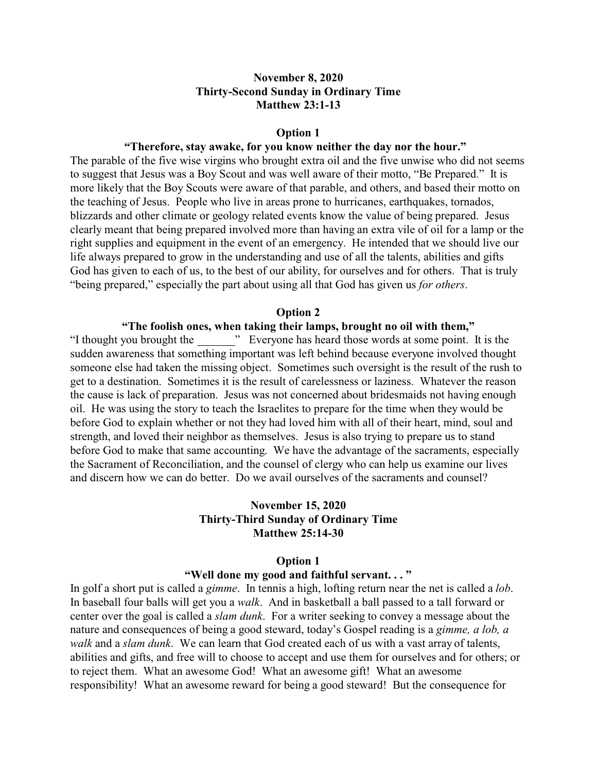## **November 8, 2020 Thirty-Second Sunday in Ordinary Time Matthew 23:1-13**

#### **Option 1**

## **"Therefore, stay awake, for you know neither the day nor the hour."**

The parable of the five wise virgins who brought extra oil and the five unwise who did not seems to suggest that Jesus was a Boy Scout and was well aware of their motto, "Be Prepared." It is more likely that the Boy Scouts were aware of that parable, and others, and based their motto on the teaching of Jesus. People who live in areas prone to hurricanes, earthquakes, tornados, blizzards and other climate or geology related events know the value of being prepared. Jesus clearly meant that being prepared involved more than having an extra vile of oil for a lamp or the right supplies and equipment in the event of an emergency. He intended that we should live our life always prepared to grow in the understanding and use of all the talents, abilities and gifts God has given to each of us, to the best of our ability, for ourselves and for others. That is truly "being prepared," especially the part about using all that God has given us *for others*.

#### **Option 2**

## **"The foolish ones, when taking their lamps, brought no oil with them,"**

"I thought you brought the " Everyone has heard those words at some point. It is the sudden awareness that something important was left behind because everyone involved thought someone else had taken the missing object. Sometimes such oversight is the result of the rush to get to a destination. Sometimes it is the result of carelessness or laziness. Whatever the reason the cause is lack of preparation. Jesus was not concerned about bridesmaids not having enough oil. He was using the story to teach the Israelites to prepare for the time when they would be before God to explain whether or not they had loved him with all of their heart, mind, soul and strength, and loved their neighbor as themselves. Jesus is also trying to prepare us to stand before God to make that same accounting. We have the advantage of the sacraments, especially the Sacrament of Reconciliation, and the counsel of clergy who can help us examine our lives and discern how we can do better. Do we avail ourselves of the sacraments and counsel?

## **November 15, 2020 Thirty-Third Sunday of Ordinary Time Matthew 25:14-30**

#### **Option 1**

## **"Well done my good and faithful servant. . . "**

In golf a short put is called a *gimme*. In tennis a high, lofting return near the net is called a *lob*. In baseball four balls will get you a *walk*. And in basketball a ball passed to a tall forward or center over the goal is called a *slam dunk*. For a writer seeking to convey a message about the nature and consequences of being a good steward, today's Gospel reading is a *gimme, a lob, a walk* and a *slam dunk*. We can learn that God created each of us with a vast array of talents, abilities and gifts, and free will to choose to accept and use them for ourselves and for others; or to reject them. What an awesome God! What an awesome gift! What an awesome responsibility! What an awesome reward for being a good steward! But the consequence for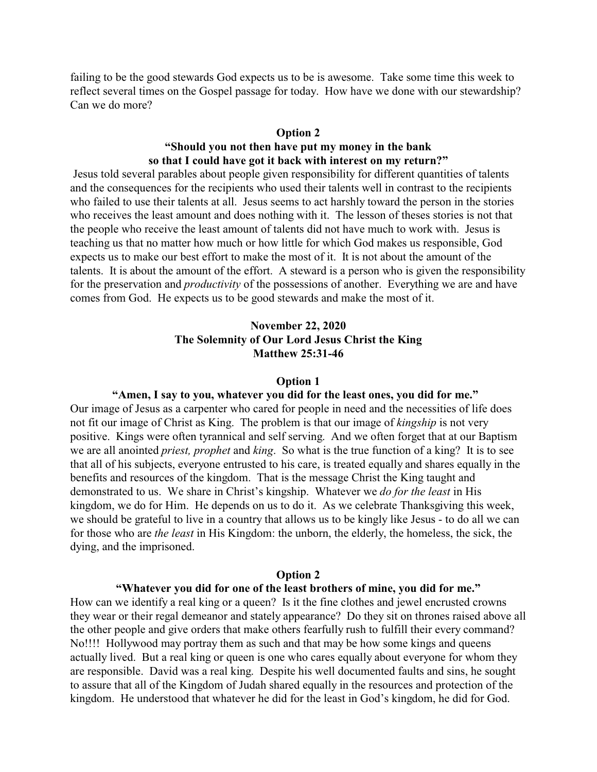failing to be the good stewards God expects us to be is awesome. Take some time this week to reflect several times on the Gospel passage for today. How have we done with our stewardship? Can we do more?

#### **Option 2**

## **"Should you not then have put my money in the bank so that I could have got it back with interest on my return?"**

 Jesus told several parables about people given responsibility for different quantities of talents and the consequences for the recipients who used their talents well in contrast to the recipients who failed to use their talents at all. Jesus seems to act harshly toward the person in the stories who receives the least amount and does nothing with it. The lesson of theses stories is not that the people who receive the least amount of talents did not have much to work with. Jesus is teaching us that no matter how much or how little for which God makes us responsible, God expects us to make our best effort to make the most of it. It is not about the amount of the talents. It is about the amount of the effort. A steward is a person who is given the responsibility for the preservation and *productivity* of the possessions of another. Everything we are and have comes from God. He expects us to be good stewards and make the most of it.

## **November 22, 2020 The Solemnity of Our Lord Jesus Christ the King Matthew 25:31-46**

#### **Option 1**

## **"Amen, I say to you, whatever you did for the least ones, you did for me."**

Our image of Jesus as a carpenter who cared for people in need and the necessities of life does not fit our image of Christ as King. The problem is that our image of *kingship* is not very positive. Kings were often tyrannical and self serving. And we often forget that at our Baptism we are all anointed *priest, prophet* and *king*. So what is the true function of a king? It is to see that all of his subjects, everyone entrusted to his care, is treated equally and shares equally in the benefits and resources of the kingdom. That is the message Christ the King taught and demonstrated to us. We share in Christ's kingship. Whatever we *do for the least* in His kingdom, we do for Him. He depends on us to do it. As we celebrate Thanksgiving this week, we should be grateful to live in a country that allows us to be kingly like Jesus - to do all we can for those who are *the least* in His Kingdom: the unborn, the elderly, the homeless, the sick, the dying, and the imprisoned.

#### **Option 2**

#### **"Whatever you did for one of the least brothers of mine, you did for me."**

How can we identify a real king or a queen? Is it the fine clothes and jewel encrusted crowns they wear or their regal demeanor and stately appearance? Do they sit on thrones raised above all the other people and give orders that make others fearfully rush to fulfill their every command? No!!!! Hollywood may portray them as such and that may be how some kings and queens actually lived. But a real king or queen is one who cares equally about everyone for whom they are responsible. David was a real king. Despite his well documented faults and sins, he sought to assure that all of the Kingdom of Judah shared equally in the resources and protection of the kingdom. He understood that whatever he did for the least in God's kingdom, he did for God.